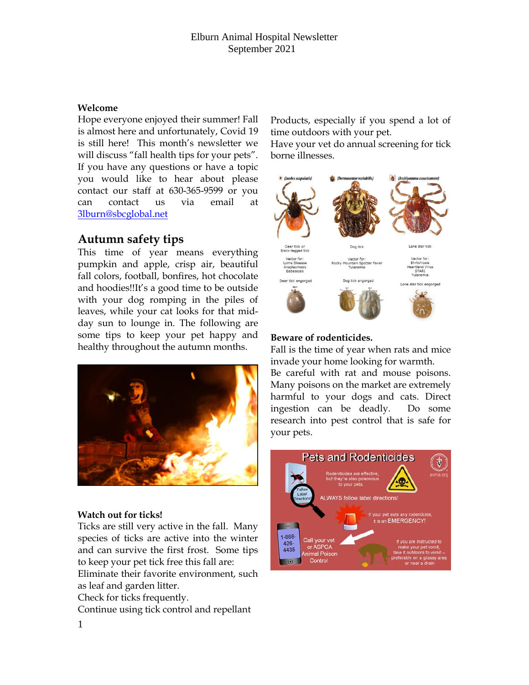## Elburn Animal Hospital Newsletter September 2021

#### **Welcome**

Hope everyone enjoyed their summer! Fall is almost here and unfortunately, Covid 19 is still here! This month's newsletter we will discuss "fall health tips for your pets". If you have any questions or have a topic you would like to hear about please contact our staff at 630-365-9599 or you can contact us via email at [3lburn@sbcglobal.net](mailto:3lburn@sbcglobal.net) 

# **Autumn safety tips**

This time of year means everything pumpkin and apple, crisp air, beautiful fall colors, football, bonfires, hot chocolate and hoodies!!It's a good time to be outside with your dog romping in the piles of leaves, while your cat looks for that midday sun to lounge in. The following are some tips to keep your pet happy and healthy throughout the autumn months.



## **Watch out for ticks!**

Ticks are still very active in the fall. Many species of ticks are active into the winter and can survive the first frost. Some tips to keep your pet tick free this fall are:

Eliminate their favorite environment, such as leaf and garden litter.

Check for ticks frequently.

Continue using tick control and repellant

Products, especially if you spend a lot of time outdoors with your pet.

Have your vet do annual screening for tick borne illnesses.



## **Beware of rodenticides.**

Fall is the time of year when rats and mice invade your home looking for warmth.

Be careful with rat and mouse poisons. Many poisons on the market are extremely harmful to your dogs and cats. Direct ingestion can be deadly. Do some research into pest control that is safe for your pets.

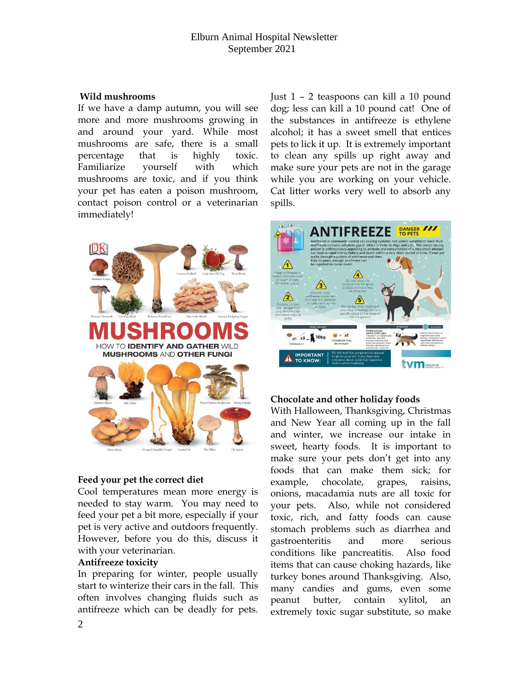## Elburn Animal Hospital Newsletter September 2021

#### **Wild mushrooms**

If we have a damp autumn, you will see more and more mushrooms growing in and around your yard. While most mushrooms are safe, there is a small percentage that is highly toxic. Familiarize yourself with which mushrooms are toxic, and if you think your pet has eaten a poison mushroom, contact poison control or a veterinarian immediately!



#### **Feed your pet the correct diet**

Cool temperatures mean more energy is needed to stay warm. You may need to feed your pet a bit more, especially if your pet is very active and outdoors frequently. However, before you do this, discuss it with your veterinarian.

#### **Antifreeze toxicity**

In preparing for winter, people usually start to winterize their cars in the fall. This often involves changing fluids such as antifreeze which can be deadly for pets. Just 1 – 2 teaspoons can kill a 10 pound dog; less can kill a 10 pound cat! One of the substances in antifreeze is ethylene alcohol; it has a sweet smell that entices pets to lick it up. It is extremely important to clean any spills up right away and make sure your pets are not in the garage while you are working on your vehicle. Cat litter works very well to absorb any spills.



#### **Chocolate and other holiday foods**

With Halloween, Thanksgiving, Christmas and New Year all coming up in the fall and winter, we increase our intake in sweet, hearty foods. It is important to make sure your pets don't get into any foods that can make them sick; for example, chocolate, grapes, raisins, onions, macadamia nuts are all toxic for your pets. Also, while not considered toxic, rich, and fatty foods can cause stomach problems such as diarrhea and gastroenteritis and more serious conditions like pancreatitis. Also food items that can cause choking hazards, like turkey bones around Thanksgiving. Also, many candies and gums, even some peanut butter, contain xylitol, an extremely toxic sugar substitute, so make